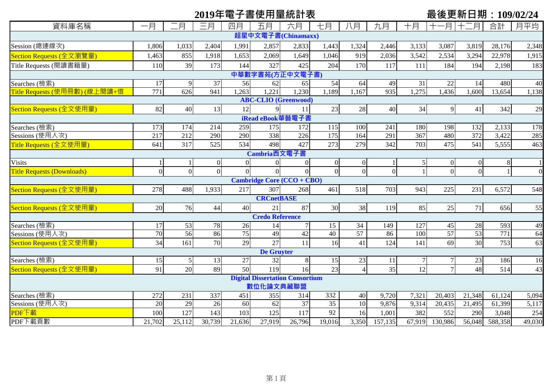# **2019年電子書使用量統計表 最後更新日期:109/02/24**

| 資料庫名稱                             | 一月                         | 月              | 三月       | 四月             | 五月                     | 六月                                     | 七月               | 八月             | 九月             | 十月     | -月          | 月               | 合計      | 月平均    |
|-----------------------------------|----------------------------|----------------|----------|----------------|------------------------|----------------------------------------|------------------|----------------|----------------|--------|-------------|-----------------|---------|--------|
|                                   |                            |                |          |                |                        | 超星中文電子書(Chinamaxx)                     |                  |                |                |        |             |                 |         |        |
| Session (總連線次)                    | 1,806                      | 1,033          | 2,404    | 1,991          | 2,857                  | 2,833                                  | 1,443            | 1,324          | 2,446          | 3,133  | 3,087       | 3,819           | 28,176  | 2,348  |
| Section Requests (全文瀏覽量)          | 1,463                      | 855            | 1,918    | 1,653          | 2,069                  | 1,649                                  | 1,046            | 919            | 2,036          | 3,542  | 2,534       | 3,294           | 22,978  | 1,915  |
| Title Requests (閱讀書籍量)            | 110                        | 39             | 173      | 144            | 327                    | 425                                    | 204              | 170            | 117            | 111    | 184         | 194             | 2,198   | 183    |
| 中華數字書苑(方正中文電子書)                   |                            |                |          |                |                        |                                        |                  |                |                |        |             |                 |         |        |
| Searches (檢索)                     | 17                         | 9              | 37       | 56             | 62                     | 65                                     | 54               | 64             | 49             | 31     | 22          | 14              | 480     | 40     |
| Title Requests (使用冊數) (線上閱讀+借     | $\overline{771}$           | 626            | 941      | ,263           | ,221                   | 1,230                                  | 1,189            | ,167           | 935            | 1,275  | ,436        | 1,600           | 13,654  | 1,138  |
| <b>ABC-CLIO</b> (Greenwood)       |                            |                |          |                |                        |                                        |                  |                |                |        |             |                 |         |        |
| Section Requests (全文使用量)          | 82                         | 40             | 13       | 12             | $\mathbf Q$            | 11                                     | 23               | 28             | 40             | 34     | $\mathbf Q$ | 41              | 342     | 29     |
| iRead eBook華藝電子書                  |                            |                |          |                |                        |                                        |                  |                |                |        |             |                 |         |        |
| Searches (檢索)                     | 173                        | 174            | 214      | 259            | 175                    | 172                                    | 115              | 100            | 241            | 180    | 198         | 132             | 2,133   | 178    |
| Sessions (使用人次)                   | $\overline{217}$           | 212            | 290      | 290            | 338                    | $\overline{226}$                       | $\overline{175}$ | 164            | 291            | 367    | 480         | 372             | 3,422   | 285    |
| Title Requests (全文使用量)            | 641                        | 317            | 525      | 534            | 498                    | 427                                    | 273              | 279            | 342            | 703    | 475         | 541             | 5,555   | 463    |
| Cambria西文電子書                      |                            |                |          |                |                        |                                        |                  |                |                |        |             |                 |         |        |
| <b>Visits</b>                     |                            |                | $\Omega$ | $\overline{0}$ | $\Omega$               | $\Omega$                               | $\overline{0}$   | $\overline{0}$ |                | 5      | $\Omega$    | $\mathbf{0}$    | 8       |        |
| <b>Title Requests (Downloads)</b> | $\Omega$                   | $\overline{0}$ | $\Omega$ | $\Omega$       |                        |                                        | $\overline{0}$   | $\Omega$       | $\overline{0}$ |        | $\Omega$    | $\Omega$        |         |        |
|                                   | Cambridge Core (CCO + CBO) |                |          |                |                        |                                        |                  |                |                |        |             |                 |         |        |
| Section Requests (全文使用量)          | 278                        | 488            | 1,933    | 217            | 307                    | 268                                    | 461              | 518            | 703            | 943    | 225         | 231             | 6,572   | 548    |
|                                   |                            |                |          |                | <b>CRCnetBASE</b>      |                                        |                  |                |                |        |             |                 |         |        |
| Section Requests (全文使用量)          | 20                         | 76             | 44       | 40             | 21                     | 87                                     | 30               | 38             | 119            | 85     | 25          | 71              | 656     | 55     |
|                                   |                            |                |          |                | <b>Credo Reference</b> |                                        |                  |                |                |        |             |                 |         |        |
| Searches (檢索)                     | 17                         | 53             | 78       | 26             | 14                     |                                        | 15               | 34             | 149            | 127    | 45          | $28\,$          | 593     | 49     |
| Sessions (使用人次)                   | 70                         | 56             | 86       | 75             | 49                     | 42                                     | 40               | 57             | 86             | 100    | 57          | $\overline{53}$ | 771     | 64     |
| Section Requests (全文使用量)          | 34                         | 161            | 70       | 29             | 27                     | 11                                     | 16               | 41             | 124            | 141    | 69          | 30              | 753     | 63     |
|                                   |                            |                |          |                | <b>De Gruyter</b>      |                                        |                  |                |                |        |             |                 |         |        |
| Searches (檢索)                     | 15                         | 5              | 13       | 27             | 32                     | 8                                      | 15               | 23             | 11             |        |             | 23              | 186     | 16     |
| Section Requests (全文使用量)          | 91                         | 20             | 89       | 50             | 119                    | 16                                     | 23               |                | 35             | 12     |             | 48              | 514     | 43     |
|                                   |                            |                |          |                | 數位化論文典藏聯盟              | <b>Digital Dissertation Consortium</b> |                  |                |                |        |             |                 |         |        |
| Searches (檢索)                     | 272                        | 231            | 337      | 451            | 355                    | 314                                    | 332              | 40             | 9,720          | 7,321  | 20,403      | 21,348          | 61,124  | 5,094  |
| Sessions (使用人次)                   | 20                         | 29             | 26       | 60             | 62                     | $\overline{37}$                        | 35               | 10             | 9,876          | 9,314  | 20,435      | 21,495          | 61,399  | 5,117  |
| PDF下載                             | 100                        | 127            | 143      | 103            | 125                    | 117                                    | 92               | 16             | 1,001          | 382    | 552         | 290             | 3,048   | 254    |
| PDF下載頁數                           | 21,702                     | 25,112         | 30,739   | 21,636         | 27,919                 | 26,796                                 | 19,016           | 3,350          | 157,135        | 67,919 | 130,986     | 56,048          | 588,358 | 49,030 |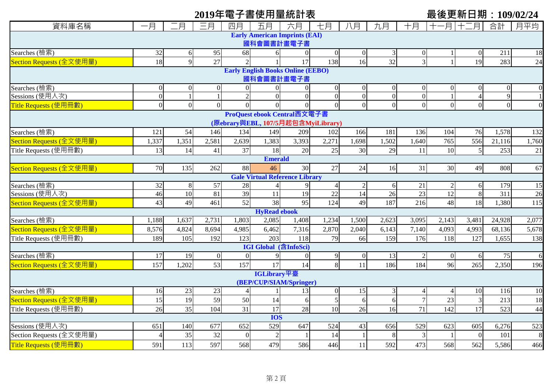# **2019年電子書使用量統計表 最後更新日期:109/02/24**

| 資料庫名稱                                                             | 一月               | 二月             | 三月             | 四月             | 五月                           | 六月                                    | 七月                                | 八月                   | 九月                   | 十月             | 月               | .月       | 合計                      | 月平均                   |
|-------------------------------------------------------------------|------------------|----------------|----------------|----------------|------------------------------|---------------------------------------|-----------------------------------|----------------------|----------------------|----------------|-----------------|----------|-------------------------|-----------------------|
|                                                                   |                  |                |                |                |                              | <b>Early American Imprints (EAI)</b>  |                                   |                      |                      |                |                 |          |                         |                       |
| 國科會圖書計畫電子書                                                        |                  |                |                |                |                              |                                       |                                   |                      |                      |                |                 |          |                         |                       |
| Searches (檢索)                                                     | 32               | 6              | 95             | 68             | 6                            | $\overline{0}$                        | $\overline{0}$                    | $\overline{0}$       | 3                    | $\Omega$       |                 | $\theta$ | 211                     | 18                    |
| Section Requests (全文使用量)                                          | 18               | 9              | 27             | $\overline{2}$ |                              | 17                                    | 138                               | 16                   | 32                   | $\overline{3}$ |                 | 19       | 283                     | 24                    |
| <b>Early English Books Online (EEBO)</b>                          |                  |                |                |                |                              |                                       |                                   |                      |                      |                |                 |          |                         |                       |
| 國科會圖書計畫電子書                                                        |                  |                |                |                |                              |                                       |                                   |                      |                      |                |                 |          |                         |                       |
| Searches (檢索)                                                     | $\boldsymbol{0}$ | $\theta$       | $\theta$       | $\Omega$       | $\overline{0}$               | $\mathbf{0}$                          | $\Omega$                          | $\Omega$             | $\Omega$             | $\Omega$       | $\Omega$        |          |                         |                       |
| Sessions (使用人次)                                                   | $\overline{0}$   | $\mathbf{1}$   | $\mathbf{1}$   | $\overline{2}$ | $\overline{0}$               | $\mathbf{0}$                          | $\overline{0}$                    | $\overline{0}$       | $\overline{0}$       | $\overline{0}$ |                 | $\Delta$ | 9                       |                       |
| Title Requests (使用冊數)                                             | $\overline{0}$   | $\overline{0}$ | $\overline{0}$ | $\overline{0}$ | $\overline{0}$               | $\mathbf{0}$                          | $\overline{0}$                    | $\overline{0}$       | $\theta$             | $\overline{0}$ |                 | $\Omega$ | $\mathbf{0}$            | $\Omega$              |
| ProQuest ebook Central西文電子書<br>(原ebrary與EBL, 107/5月起包含MyiLibrary) |                  |                |                |                |                              |                                       |                                   |                      |                      |                |                 |          |                         |                       |
|                                                                   |                  |                |                |                |                              |                                       |                                   |                      |                      |                |                 |          |                         |                       |
| Searches (檢索)                                                     | 121              | 54             | 146            | 134            | 149                          | 209                                   | 102                               | 166                  | 181                  | 136            | 104             | 76       | 1,578                   | 132                   |
| Section Requests (全文使用量)                                          | 1,337            | 1,351          | 2,581          | 2,639          | 1,383                        | 3,393                                 | 2,271                             | 1,698                | 1,502                | 1,640          | 765             | 556      | 21,116                  | 1,760                 |
| Title Requests (使用冊數)                                             | 13               | 14             | 41             | 37             | 18                           | 20                                    | 25                                | 30                   | 29                   | 11             | 10              | 5        | 253                     | 21                    |
|                                                                   |                  |                |                |                | <b>Emerald</b>               |                                       |                                   |                      |                      |                |                 |          |                         |                       |
| Section Requests (全文使用量)                                          | 70               | 135            | 262            | 88             | 46                           | 30                                    | 27                                | 24                   | 16                   | 31             | 30              | 49       | 808                     | 67                    |
|                                                                   |                  |                |                |                |                              | <b>Gale Virtual Reference Library</b> |                                   |                      |                      |                |                 |          |                         |                       |
| Searches (檢索)<br>Sessions (使用人次)                                  | 32<br>46         | 8<br>10        | 57<br>81       | 28<br>39       | 11                           | 9<br>$\overline{19}$                  | $\overline{4}$<br>$\overline{22}$ | $\overline{2}$<br>14 | 6<br>$\overline{26}$ | 21<br>23       | $\overline{12}$ | 6<br>8   | 179<br>$\overline{311}$ | 15<br>$\overline{26}$ |
| Section Requests (全文使用量)                                          | 43               | 49             | 461            | 52             | 38                           | 95                                    | 124                               | 49                   | 187                  | 216            | 48              | 18       | 1,380                   | 115                   |
|                                                                   |                  |                |                |                | <b>HyRead ebook</b>          |                                       |                                   |                      |                      |                |                 |          |                         |                       |
| Searches (檢索)                                                     | 1,188            | 1,637          | 2,731          | 1,803          | 2,085                        | 1,408                                 | 1,234                             | 1,500                | 2,623                | 3,095          | 2,143           | 3,481    | 24,928                  | 2,077                 |
| Section Requests (全文使用量)                                          | 8,576            | 4,824          | 8,694          | 4,985          | 6,462                        | 7,316                                 | 2,870                             | 2,040                | 6,143                | 7,140          | 4,093           | 4,993    | 68,136                  | 5,678                 |
| Title Requests (使用冊數)                                             | 189              | 105            | 192            | 123            | 203                          | 118                                   | 79                                | 66                   | 159                  | 176            | 118             | 127      | 1,655                   | 138                   |
|                                                                   |                  |                |                |                | <b>IGI Global</b> (含InfoSci) |                                       |                                   |                      |                      |                |                 |          |                         |                       |
| Searches (檢索)                                                     | 17               | 19             | $\mathbf{0}$   | $\mathbf{0}$   | 9                            | $\mathbf{0}$                          | 9                                 | $\overline{0}$       | 13                   |                |                 | 6        | 75                      | 6                     |
| Section Requests (全文使用量)                                          | 157              | 1,202          | 53             | 157            | 17                           | 14                                    | 8                                 | 11                   | 186                  | 184            | 96              | 265      | 2,350                   | 196                   |
|                                                                   |                  |                |                |                | IGLibrary平臺                  |                                       |                                   |                      |                      |                |                 |          |                         |                       |
|                                                                   |                  |                |                |                |                              | (BEP/CUP/SIAM/Springer)               |                                   |                      |                      |                |                 |          |                         |                       |
| Searches (檢索)                                                     | 16               | 23             | 23             | $\overline{4}$ |                              | 13                                    | $\boldsymbol{0}$                  | 15                   | 3                    |                |                 | 10       | 116                     | 10                    |
| Section Requests (全文使用量)                                          | 15               | 19             | 59             | 50             | 14                           | $\sqrt{6}$                            | 5                                 | 6                    | 6                    |                | 23              | 3        | 213                     | 18                    |
| Title Requests (使用冊數)                                             | 26               | 35             | 104            | 31             | 17                           | 28                                    | $\overline{10}$                   | 26                   | 16                   | 71             | 142             | 17       | 523                     | 44                    |
|                                                                   |                  |                |                |                | <b>IOS</b>                   |                                       |                                   |                      |                      |                |                 |          |                         |                       |
| Sessions (使用人次)                                                   | 651              | 140            | 677            | 652            | 529                          | 647                                   | 524                               | 43                   | 656                  | 529            | 623             | 605      | 6,276                   | 523                   |
| Section Requests (全文使用量)                                          | $\Delta$         | 35             | 32             | $\Omega$       | $\overline{2}$               |                                       | 14                                |                      | 8                    | 3              |                 | $\Omega$ | 101                     | 8                     |
| Title Requests (使用冊數)                                             | 591              | 113            | 597            | 568            | 479                          | 586                                   | 446                               | 11                   | 592                  | 473            | 568             | 562      | 5,586                   | 466                   |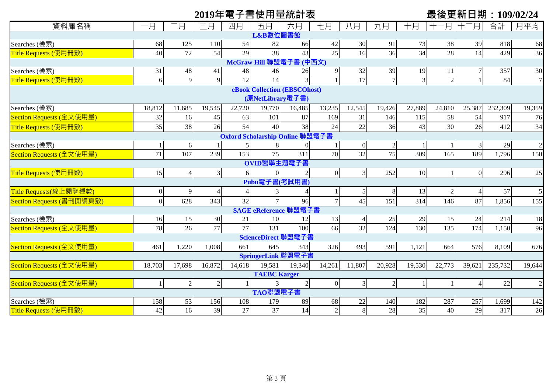|                           |                |                |                |                |                     | 2019年電子書使用量統計表                  |                |                 |                |                |                |                | 最後更新日期:109/02/24 |                |
|---------------------------|----------------|----------------|----------------|----------------|---------------------|---------------------------------|----------------|-----------------|----------------|----------------|----------------|----------------|------------------|----------------|
| 資料庫名稱                     | 一月             | .月             | 三月             | 四月             | 五月                  | 六月                              | 七月             | 八月              | 九月             | 十月             | -月!            | 十二月            | 合計               | 月平均            |
|                           |                |                |                |                | L&B數位圖書館            |                                 |                |                 |                |                |                |                |                  |                |
| Searches (檢索)             | 68             | 125            | 110            | 54             | 82                  | 66                              | 42             | 30              | 91             | 73             | 38             | 39             | 818              | 68             |
| Title Requests (使用冊數)     | 40             | 72             | 54             | 29             | 38                  | 43                              | 25             | 16              | 36             | 34             | 28             | 14             | 429              | 36             |
|                           |                |                |                |                |                     | McGraw Hill 聯盟電子書 (中西文)         |                |                 |                |                |                |                |                  |                |
| Searches (檢索)             | 31             | 48             | 41             | 48             | 46                  | 26                              |                | 32              | 39             | 19             | 11             |                | 357              | 30             |
| Title Requests (使用冊數)     | 6              | 9              | 9              | 12             | 14                  |                                 |                | $\overline{17}$ |                | $\overline{3}$ | $\overline{2}$ |                | 84               | $\overline{7}$ |
|                           |                |                |                |                |                     | eBook Collection (EBSCOhost)    |                |                 |                |                |                |                |                  |                |
|                           |                |                |                |                | (原NetLibrary電子書)    |                                 |                |                 |                |                |                |                |                  |                |
| Searches (檢索)             | 18,812         | 11,685         | 19,545         | 22,720         | 19,770              | 16,485                          | 13,235         | 12,545          | 19,426         | 27,889         | 24,810         | 25,387         | 232,309          | 19,359         |
| Section Requests (全文使用量)  | 32             | 16             | 45             | 63             | 101                 | 87                              | 169            | 31              | 146            | 115            | 58             | 54             | 917              | 76             |
| Title Requests (使用冊數)     | 35             | 38             | 26             | 54             | 40                  | 38                              | 24             | 22              | 36             | 43             | 30             | 26             | 412              | 34             |
|                           |                |                |                |                |                     | Oxford Scholarship Online 聯盟電子書 |                |                 |                |                |                |                |                  |                |
| Searches (檢索)             |                | 6              |                |                |                     |                                 |                | $\overline{0}$  |                |                |                | 3              | 29               | $\overline{2}$ |
| Section Requests (全文使用量)  | 71             | 107            | 239            | 153            | 75                  | 311                             | 70             | 32              | 75             | 309            | 165            | 189            | 1,796            | 150            |
|                           |                |                |                |                | OVID醫學主題電子書         |                                 |                |                 |                |                |                |                |                  |                |
| Title Requests (使用冊數)     | 15             | $\overline{4}$ | $\mathfrak{Z}$ | 6              | $\Omega$            |                                 | $\overline{0}$ | 3               | 252            | 10             | 1              | $\overline{0}$ | 296              | 25             |
|                           |                |                |                |                | Pubu電子書(考試用書)       |                                 |                |                 |                |                |                |                |                  |                |
| Title Requests(線上閱覽種數)    | $\overline{0}$ | 9              | $\overline{A}$ | $\overline{4}$ |                     |                                 |                | 5               | 8              | 13             | $\overline{2}$ | 4              | 57               | 5              |
| Section Requests (書刊閱讀頁數) | $\Omega$       | 628            | 343            | 32             |                     | 96                              |                | 45              | 151            | 314            | 146            | 87             | 1,856            | 155            |
|                           |                |                |                |                |                     | SAGE eReference 聯盟電子書           |                |                 |                |                |                |                |                  |                |
| Searches (檢索)             | 16             | 15             | 30             | 21             | 10                  | 12                              | 13             |                 | 25             | 29             | 15             | 24             | 214              | 18             |
| Section Requests (全文使用量)  | 78             | 26             | 77             | 77             | 131                 | 100                             | 66             | 32              | 124            | 130            | 135            | 174            | 1,150            | 96             |
|                           |                |                |                |                |                     | ScienceDirect 聯盟電子書             |                |                 |                |                |                |                |                  |                |
| Section Requests (全文使用量)  | 461            | 1,220          | 1,008          | 661            | 645                 | 343                             | 326            | 493             | 591            | 1,121          | 664            | 576            | 8,109            | 676            |
|                           |                |                |                |                |                     | SpringerLink 聯盟電子書              |                |                 |                |                |                |                |                  |                |
| Section Requests (全文使用量)  | 18,703         | 17,698         | 16,872         | 14,618         | 19,581              | 19,340                          | 14,261         | 11,807          | 20,928         | 19,530         | 22,773         | 39,621         | 235,732          | 19,644         |
|                           |                |                |                |                | <b>TAEBC Karger</b> |                                 |                |                 |                |                |                |                |                  |                |
| Section Requests (全文使用量)  |                | $\sqrt{2}$     | $\sqrt{2}$     |                |                     | $\overline{2}$                  | $\overline{0}$ | 3               | $\overline{2}$ |                |                | $\overline{4}$ | $22\,$           | $\overline{2}$ |
|                           |                |                |                |                | TAO聯盟電子書            |                                 |                |                 |                |                |                |                |                  |                |
| Searches (檢索)             | 158            | 53             | 156            | 108            | 179                 | 89                              | 68             | 22              | 140            | 182            | 287            | 257            | 1,699            | 142            |
| Title Requests (使用冊數)     | 42             | 16             | 39             | 27             | 37                  | 14                              | $\sqrt{2}$     | 8               | 28             | 35             | 40             | 29             | 317              | 26             |